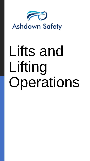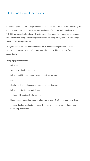The Lifting Operations and Lifting Equipment Regulations 1998 (LOLER) cover a wide range of equipment including cranes, vehicle inspection hoists, lifts, hoists, high lift pallet trucks, fork-lift trucks, mobile elevating work platforms, patient hoists, lorry mounted cranes and. This also includes lifting accessories (sometimes called lifting tackle) such as pulleys, slings, chains, hooks, and eyebolts etc.

Lifting equipment includes any equipment used at work for lifting or lowering loads (whether that is goods or people) including attachments used for anchoring, fixing or supporting it.

#### **Lifting-equipment hazards**

- Falling loads
- Trapping in wheels, pulleys etc
- Falling out of lifting areas and equipment or from openings
- Crushing
- slipping loads or equipment due to water, oil, ice, dust, etc
- Falling loads due to incorrect slinging
- Collision with goods or traffic, person.
- Electric shock from defective or unsafe wiring or contact with overhead power lines
- Collapse due to a mechanical defect or from use on uneven or soft surfaces (jacks, hoists, skip loaders etc)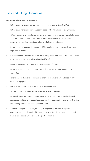#### **Recommendations to employers**

- Lifting equipment must not be used to move loads heavier than the SWL.
- Lifting equipment must only be used by people who have been suitably trained.
- Where equipment is used ensure it is marked accordingly, it should be safe for such a purpose; ie equipment should be specifically designed for lifting people and all necessary precautions have been taken to eliminate or reduce risk.
- Determine an inspection frequency for lifting equipment, which complies with the legal requirements.
- Risk assessments must be prepared for all lifting operations and all lifting equipment must be marked with its safe working load (SWL).
- Record examination and supplementary inspection findings.
- Ensure that user checks are undertaken before use and routine maintenance is conducted.
- Take to ensure defective equipment is taken out of use and action to rectify any defects in equipment.
- Never allow employees to stand under a suspended load.
- Store all lifting equipment and facilities correctly and securely.
- Ensure all lifting are carried out in a safe manner activities are properly planned, supervised and that employees have received the necessary information, instruction and training for the work and equipment used.
- Appoint a competent person (normally an engineering insurance inspection company) to test and examine lifting equipment before first use and on a periodic basis in accordance with a planned inspection frequency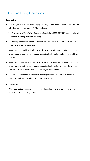#### **Legal duties**

- The Lifting Operations and Lifting Equipment Regulations 1998 (LOLER): specifically the selection, use and operation of lifting equipment.
- The Provision and Use of Work Equipment Regulations 1998 (PUWER): apply to all work equipment including that used for lifting.
- The Management of Health and Safety at Work Regulations 1999 (MHSWR): impose duties to carry out risk assessments.
- Section 2 of The Health and Safety at Work etc Act 1974 (HSWA): requires all employers to ensure, as far as is reasonably practicable, the health, safety and welfare of all their employees.
- Section 3 of The Health and Safety at Work etc Act 1974 (HSWA): requires all employers to ensure, as far as is reasonably practicable, the health, safety of those who are not employees but may be affected by the employers work activity.
- The Personal Protective Equipment at Work Regulations 1992 relates to personal protective equipment required to be used to avoid risks.

#### **Did you know?**

• LOLER applies to new equipment or second-hand, leased or that belonging to employees and is used for the employer's work.